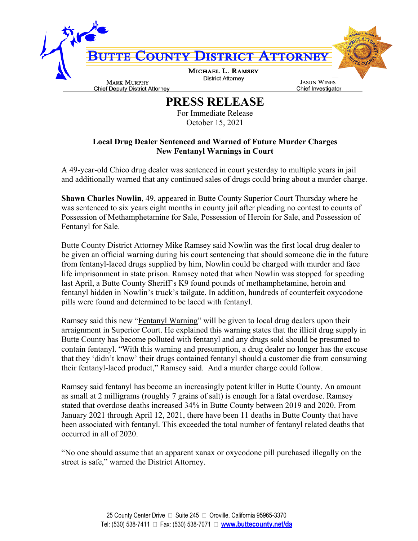

**PRESS RELEASE**

For Immediate Release October 15, 2021

## **Local Drug Dealer Sentenced and Warned of Future Murder Charges New Fentanyl Warnings in Court**

A 49-year-old Chico drug dealer was sentenced in court yesterday to multiple years in jail and additionally warned that any continued sales of drugs could bring about a murder charge.

**Shawn Charles Nowlin**, 49, appeared in Butte County Superior Court Thursday where he was sentenced to six years eight months in county jail after pleading no contest to counts of Possession of Methamphetamine for Sale, Possession of Heroin for Sale, and Possession of Fentanyl for Sale.

Butte County District Attorney Mike Ramsey said Nowlin was the first local drug dealer to be given an official warning during his court sentencing that should someone die in the future from fentanyl-laced drugs supplied by him, Nowlin could be charged with murder and face life imprisonment in state prison. Ramsey noted that when Nowlin was stopped for speeding last April, a Butte County Sheriff's K9 found pounds of methamphetamine, heroin and fentanyl hidden in Nowlin's truck's tailgate. In addition, hundreds of counterfeit oxycodone pills were found and determined to be laced with fentanyl.

Ramsey said this new "Fentanyl Warning" will be given to local drug dealers upon their arraignment in Superior Court. He explained this warning states that the illicit drug supply in Butte County has become polluted with fentanyl and any drugs sold should be presumed to contain fentanyl. "With this warning and presumption, a drug dealer no longer has the excuse that they 'didn't know' their drugs contained fentanyl should a customer die from consuming their fentanyl-laced product," Ramsey said. And a murder charge could follow.

Ramsey said fentanyl has become an increasingly potent killer in Butte County. An amount as small at 2 milligrams (roughly 7 grains of salt) is enough for a fatal overdose. Ramsey stated that overdose deaths increased 34% in Butte County between 2019 and 2020. From January 2021 through April 12, 2021, there have been 11 deaths in Butte County that have been associated with fentanyl. This exceeded the total number of fentanyl related deaths that occurred in all of 2020.

"No one should assume that an apparent xanax or oxycodone pill purchased illegally on the street is safe," warned the District Attorney.